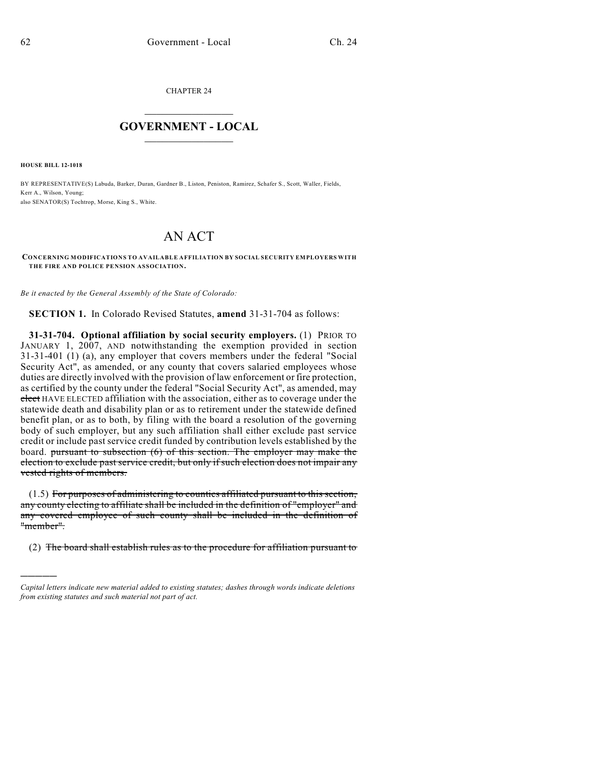CHAPTER 24

## $\overline{\phantom{a}}$  . The set of the set of the set of the set of the set of the set of the set of the set of the set of the set of the set of the set of the set of the set of the set of the set of the set of the set of the set o **GOVERNMENT - LOCAL**  $\_$

**HOUSE BILL 12-1018**

)))))

BY REPRESENTATIVE(S) Labuda, Barker, Duran, Gardner B., Liston, Peniston, Ramirez, Schafer S., Scott, Waller, Fields, Kerr A., Wilson, Young; also SENATOR(S) Tochtrop, Morse, King S., White.

## AN ACT

**CONCERNING MODIFICATIONS TO AVAILABLE AFFILIATION BY SOCIAL SECURITY EMPLOYERS WITH THE FIRE AND POLICE PENSION ASSOCIATION.**

*Be it enacted by the General Assembly of the State of Colorado:*

**SECTION 1.** In Colorado Revised Statutes, **amend** 31-31-704 as follows:

**31-31-704. Optional affiliation by social security employers.** (1) PRIOR TO JANUARY 1, 2007, AND notwithstanding the exemption provided in section 31-31-401 (1) (a), any employer that covers members under the federal "Social Security Act", as amended, or any county that covers salaried employees whose duties are directly involved with the provision of law enforcement or fire protection, as certified by the county under the federal "Social Security Act", as amended, may elect HAVE ELECTED affiliation with the association, either as to coverage under the statewide death and disability plan or as to retirement under the statewide defined benefit plan, or as to both, by filing with the board a resolution of the governing body of such employer, but any such affiliation shall either exclude past service credit or include past service credit funded by contribution levels established by the board. pursuant to subsection (6) of this section. The employer may make the election to exclude past service credit, but only if such election does not impair any vested rights of members.

(1.5) For purposes of administering to counties affiliated pursuant to this section, any county electing to affiliate shall be included in the definition of "employer" and any covered employee of such county shall be included in the definition of "member".

(2) The board shall establish rules as to the procedure for affiliation pursuant to

*Capital letters indicate new material added to existing statutes; dashes through words indicate deletions from existing statutes and such material not part of act.*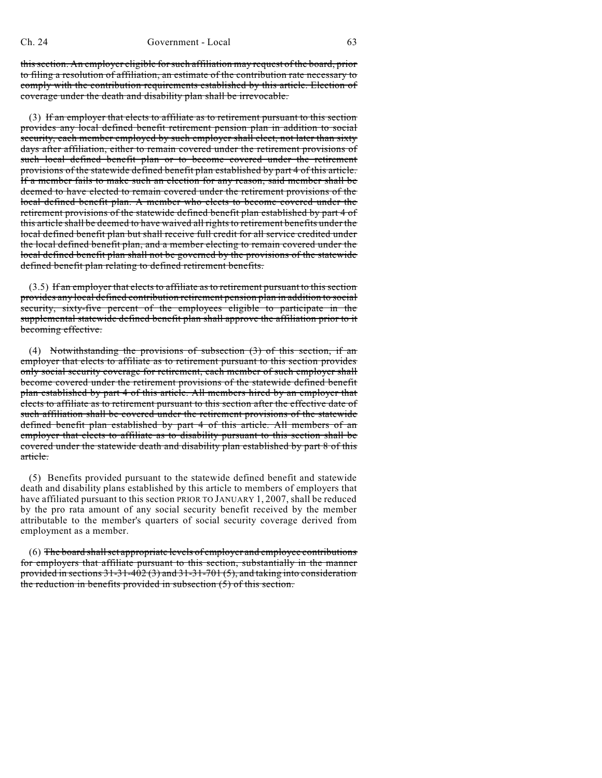thissection. An employer eligible forsuch affiliation may request of the board, prior to filing a resolution of affiliation, an estimate of the contribution rate necessary to comply with the contribution requirements established by this article. Election of coverage under the death and disability plan shall be irrevocable.

(3) If an employer that elects to affiliate as to retirement pursuant to this section provides any local defined benefit retirement pension plan in addition to social security, each member employed by such employer shall elect, not later than sixty days after affiliation, either to remain covered under the retirement provisions of such local defined benefit plan or to become covered under the retirement provisions of the statewide defined benefit plan established by part 4 of this article. If a member fails to make such an election for any reason, said member shall be deemed to have elected to remain covered under the retirement provisions of the local defined benefit plan. A member who elects to become covered under the retirement provisions of the statewide defined benefit plan established by part 4 of this article shall be deemed to have waived all rights to retirement benefits under the local defined benefit plan but shall receive full credit for all service credited under the local defined benefit plan, and a member electing to remain covered under the local defined benefit plan shall not be governed by the provisions of the statewide defined benefit plan relating to defined retirement benefits.

 $(3.5)$  If an employer that elects to affiliate as to retirement pursuant to this section provides any local defined contribution retirement pension plan in addition to social security, sixty-five percent of the employees eligible to participate in the supplemental statewide defined benefit plan shall approve the affiliation prior to it becoming effective.

(4) Notwithstanding the provisions of subsection (3) of this section, if an employer that elects to affiliate as to retirement pursuant to this section provides only social security coverage for retirement, each member of such employer shall become covered under the retirement provisions of the statewide defined benefit plan established by part 4 of this article. All members hired by an employer that elects to affiliate as to retirement pursuant to this section after the effective date of such affiliation shall be covered under the retirement provisions of the statewide defined benefit plan established by part 4 of this article. All members of an employer that elects to affiliate as to disability pursuant to this section shall be covered under the statewide death and disability plan established by part 8 of this article.

(5) Benefits provided pursuant to the statewide defined benefit and statewide death and disability plans established by this article to members of employers that have affiliated pursuant to this section PRIOR TO JANUARY 1, 2007, shall be reduced by the pro rata amount of any social security benefit received by the member attributable to the member's quarters of social security coverage derived from employment as a member.

(6) The board shallset appropriate levels of employer and employee contributions for employers that affiliate pursuant to this section, substantially in the manner provided in sections  $31-31-402(3)$  and  $31-31-701(5)$ , and taking into consideration the reduction in benefits provided in subsection (5) of this section.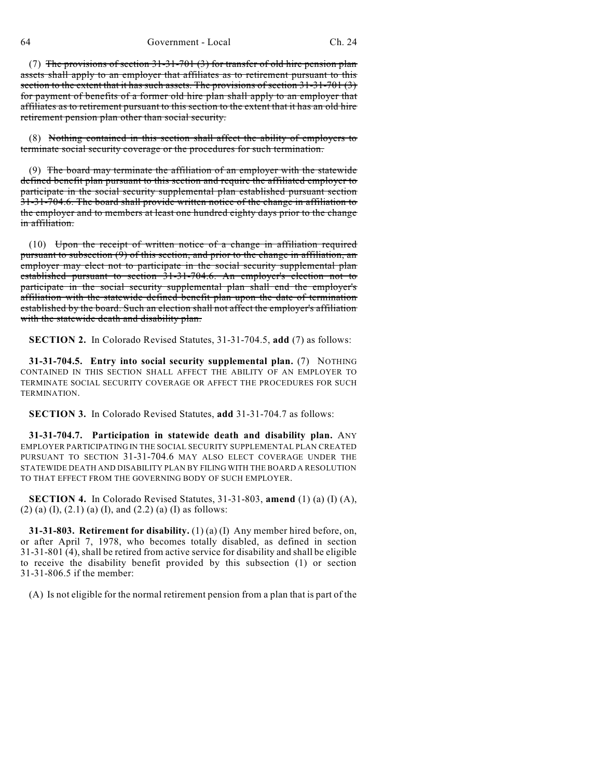64 Government - Local Ch. 24

(7) The provisions of section 31-31-701 (3) for transfer of old hire pension plan assets shall apply to an employer that affiliates as to retirement pursuant to this section to the extent that it has such assets. The provisions of section  $31-31-701$  (3) for payment of benefits of a former old hire plan shall apply to an employer that affiliates as to retirement pursuant to this section to the extent that it has an old hire retirement pension plan other than social security.

(8) Nothing contained in this section shall affect the ability of employers to terminate social security coverage or the procedures for such termination.

(9) The board may terminate the affiliation of an employer with the statewide defined benefit plan pursuant to this section and require the affiliated employer to participate in the social security supplemental plan established pursuant section 31-31-704.6. The board shall provide written notice of the change in affiliation to the employer and to members at least one hundred eighty days prior to the change in affiliation.

 $(10)$  Upon the receipt of written notice of a change in affiliation required pursuant to subsection (9) of this section, and prior to the change in affiliation, an employer may elect not to participate in the social security supplemental plan established pursuant to section 31-31-704.6. An employer's election not to participate in the social security supplemental plan shall end the employer's affiliation with the statewide defined benefit plan upon the date of termination established by the board. Such an election shall not affect the employer's affiliation with the statewide death and disability plan.

**SECTION 2.** In Colorado Revised Statutes, 31-31-704.5, **add** (7) as follows:

**31-31-704.5. Entry into social security supplemental plan.** (7) NOTHING CONTAINED IN THIS SECTION SHALL AFFECT THE ABILITY OF AN EMPLOYER TO TERMINATE SOCIAL SECURITY COVERAGE OR AFFECT THE PROCEDURES FOR SUCH TERMINATION.

**SECTION 3.** In Colorado Revised Statutes, **add** 31-31-704.7 as follows:

**31-31-704.7. Participation in statewide death and disability plan.** ANY EMPLOYER PARTICIPATING IN THE SOCIAL SECURITY SUPPLEMENTAL PLAN CREATED PURSUANT TO SECTION 31-31-704.6 MAY ALSO ELECT COVERAGE UNDER THE STATEWIDE DEATH AND DISABILITY PLAN BY FILING WITH THE BOARD A RESOLUTION TO THAT EFFECT FROM THE GOVERNING BODY OF SUCH EMPLOYER.

**SECTION 4.** In Colorado Revised Statutes, 31-31-803, **amend** (1) (a) (I) (A), (2) (a) (I), (2.1) (a) (I), and (2.2) (a) (I) as follows:

**31-31-803. Retirement for disability.** (1) (a) (I) Any member hired before, on, or after April 7, 1978, who becomes totally disabled, as defined in section 31-31-801 (4), shall be retired from active service for disability and shall be eligible to receive the disability benefit provided by this subsection (1) or section 31-31-806.5 if the member:

(A) Is not eligible for the normal retirement pension from a plan that is part of the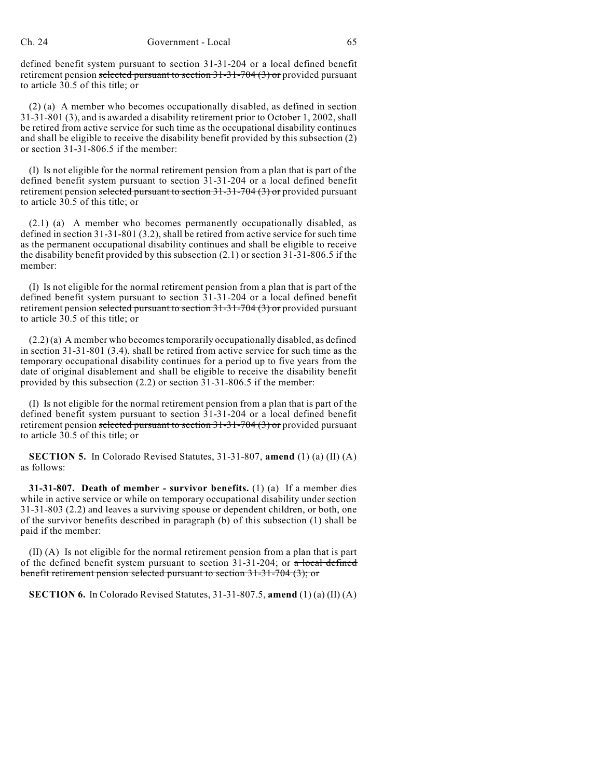defined benefit system pursuant to section 31-31-204 or a local defined benefit retirement pension selected pursuant to section  $31-31-704$  (3) or provided pursuant to article 30.5 of this title; or

(2) (a) A member who becomes occupationally disabled, as defined in section 31-31-801 (3), and is awarded a disability retirement prior to October 1, 2002, shall be retired from active service for such time as the occupational disability continues and shall be eligible to receive the disability benefit provided by this subsection (2) or section 31-31-806.5 if the member:

(I) Is not eligible for the normal retirement pension from a plan that is part of the defined benefit system pursuant to section 31-31-204 or a local defined benefit retirement pension selected pursuant to section  $31-31-704(3)$  or provided pursuant to article 30.5 of this title; or

(2.1) (a) A member who becomes permanently occupationally disabled, as defined in section 31-31-801 (3.2), shall be retired from active service for such time as the permanent occupational disability continues and shall be eligible to receive the disability benefit provided by this subsection (2.1) or section 31-31-806.5 if the member:

(I) Is not eligible for the normal retirement pension from a plan that is part of the defined benefit system pursuant to section 31-31-204 or a local defined benefit retirement pension selected pursuant to section  $31-31-704$  (3) or provided pursuant to article 30.5 of this title; or

 $(2.2)$  (a) A member who becomes temporarily occupationally disabled, as defined in section 31-31-801 (3.4), shall be retired from active service for such time as the temporary occupational disability continues for a period up to five years from the date of original disablement and shall be eligible to receive the disability benefit provided by this subsection (2.2) or section 31-31-806.5 if the member:

(I) Is not eligible for the normal retirement pension from a plan that is part of the defined benefit system pursuant to section 31-31-204 or a local defined benefit retirement pension selected pursuant to section  $31-31-704$  (3) or provided pursuant to article 30.5 of this title; or

**SECTION 5.** In Colorado Revised Statutes, 31-31-807, **amend** (1) (a) (II) (A) as follows:

**31-31-807. Death of member - survivor benefits.** (1) (a) If a member dies while in active service or while on temporary occupational disability under section 31-31-803 (2.2) and leaves a surviving spouse or dependent children, or both, one of the survivor benefits described in paragraph (b) of this subsection (1) shall be paid if the member:

(II) (A) Is not eligible for the normal retirement pension from a plan that is part of the defined benefit system pursuant to section  $31-31-204$ ; or a local defined benefit retirement pension selected pursuant to section 31-31-704 (3); or

**SECTION 6.** In Colorado Revised Statutes, 31-31-807.5, **amend** (1) (a) (II) (A)